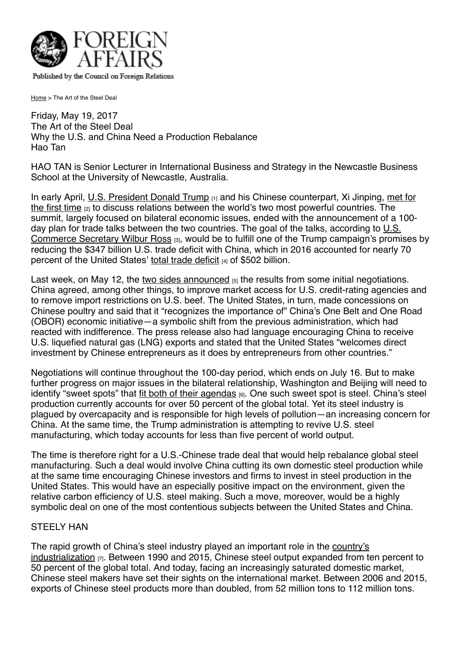

Published by the Council on Foreign Relations

[Home](https://www.foreignaffairs.com/) > The Art of the Steel Deal

Friday, May 19, 2017 The Art of the Steel Deal Why the U.S. and China Need a Production Rebalance Hao Tan

HAO TAN is Senior Lecturer in International Business and Strategy in the Newcastle Business School at the University of Newcastle, Australia.

In early April, [U.S. President Donald Trump](https://www.foreignaffairs.com/articles/china/2016-11-14/will-china-trump-trump) [1] and his Chinese counterpart, Xi Jinping, met for the first time [2] [to discuss relations between the world's two most powerful countries. The](https://www.foreignaffairs.com/articles/united-states/2017-04-10/false-start-trump-and-xi) summit, largely focused on bilateral economic issues, ended with the announcement of a 100 day plan for trade talks between the two countries. The goal of the talks, according to  $\underline{\mathsf{U.S.}}$ Commerce Secretary Wilbur Ross [3], would be to fulfill one of the Trump campaign's promises by reducing the \$347 billion U.S. trade deficit with China, which in 2016 accounted for nearly 70 percent of the United States' [total trade deficit](https://www.bea.gov/newsreleases/international/trade/2017/trad1216.htm) [4] of \$502 billion.

Last week, on May 12, the [two sides announced](https://www.commerce.gov/news/press-releases/2017/05/joint-release-initial-results-100-day-action-plan-us-china-comprehensive)  $_{[5]}$  the results from some initial negotiations. China agreed, among other things, to improve market access for U.S. credit-rating agencies and to remove import restrictions on U.S. beef. The United States, in turn, made concessions on Chinese poultry and said that it "recognizes the importance of" China's One Belt and One Road (OBOR) economic initiative—a symbolic shift from the previous administration, which had reacted with indifference. The press release also had language encouraging China to receive U.S. liquefied natural gas (LNG) exports and stated that the United States "welcomes direct investment by Chinese entrepreneurs as it does by entrepreneurs from other countries."

Negotiations will continue throughout the 100-day period, which ends on July 16. But to make further progress on major issues in the bilateral relationship, Washington and Beijing will need to identify "sweet spots" that [fit both of their agendas](https://www.foreignaffairs.com/articles/china/2017-04-06/america-can-be-first-without-china-being-last) [6]. One such sweet spot is steel. China's steel production currently accounts for over 50 percent of the global total. Yet its steel industry is plagued by overcapacity and is responsible for high levels of pollution—an increasing concern for China. At the same time, the Trump administration is attempting to revive U.S. steel manufacturing, which today accounts for less than five percent of world output.

The time is therefore right for a U.S.-Chinese trade deal that would help rebalance global steel manufacturing. Such a deal would involve China cutting its own domestic steel production while at the same time encouraging Chinese investors and firms to invest in steel production in the United States. This would have an especially positive impact on the environment, given the relative carbon efficiency of U.S. steel making. Such a move, moreover, would be a highly symbolic deal on one of the most contentious subjects between the United States and China.

## STEELY HAN

[The rapid growth of China's steel industry played an important role in the country's](https://www.foreignaffairs.com/articles/asia/2008-01-01/rise-china-and-future-west) industrialization [7]. Between 1990 and 2015, Chinese steel output expanded from ten percent to 50 percent of the global total. And today, facing an increasingly saturated domestic market, Chinese steel makers have set their sights on the international market. Between 2006 and 2015, exports of Chinese steel products more than doubled, from 52 million tons to 112 million tons.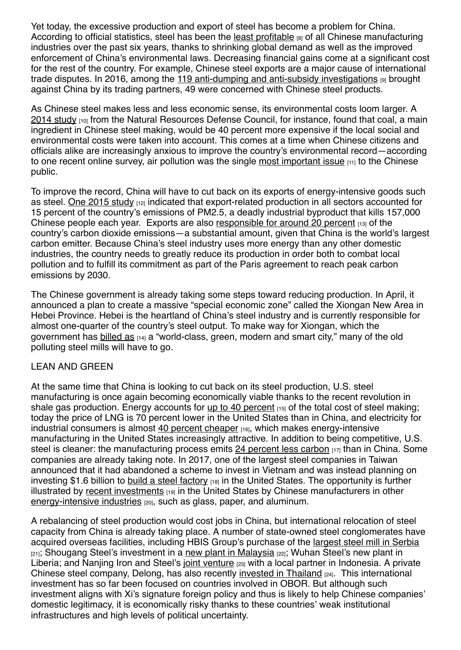Yet today, the excessive production and export of steel has become a problem for China. According to official statistics, steel has been the [least profitable](https://www.foreignaffairs.com/gallerys/2017-05-10/chinas-factory-shutdowns) [8] of all Chinese manufacturing industries over the past six years, thanks to shrinking global demand as well as the improved enforcement of China's environmental laws. Decreasing financial gains come at a significant cost for the rest of the country. For example, Chinese steel exports are a major cause of international trade disputes. In 2016, among the [119 anti-dumping and anti-subsidy investigations](http://in.reuters.com/article/china-economy-trade-idINKBN14P0GS)  $p$  brought against China by its trading partners, 49 were concerned with Chinese steel products.

As Chinese steel makes less and less economic sense, its environmental costs loom larger. A  $2014$  study  $_{[10]}$  from the Natural Resources Defense Council, for instance, found that coal, a main ingredient in Chinese steel making, would be 40 percent more expensive if the local social and environmental costs were taken into account. This comes at a time when Chinese citizens and officials alike are increasingly anxious to improve the country's environmental record—according to one recent online survey, air pollution was the single [most important issue](http://usa.chinadaily.com.cn/2015-03/03/content_19703316.htm)  $[11]$  to the Chinese public.

To improve the record, China will have to cut back on its exports of energy-intensive goods such as steel. [One 2015 study](http://pubs.acs.org/doi/abs/10.1021/es506121s) [12] indicated that export-related production in all sectors accounted for 15 percent of the country's emissions of PM2.5, a deadly industrial byproduct that kills 157,000 Chinese people each year. Exports are also [responsible for around 20 percent](http://www.sciencedirect.com/science/article/pii/S0140988316302432) [13] of the country's carbon dioxide emissions—a substantial amount, given that China is the world's largest carbon emitter. Because China's steel industry uses more energy than any other domestic industries, the country needs to greatly reduce its production in order both to combat local pollution and to fulfill its commitment as part of the Paris agreement to reach peak carbon emissions by 2030.

The Chinese government is already taking some steps toward reducing production. In April, it announced a plan to create a massive "special economic zone" called the Xiongan New Area in Hebei Province. Hebei is the heartland of China's steel industry and is currently responsible for almost one-quarter of the country's steel output. To make way for Xiongan, which the government has [billed as](http://www.chinadaily.com.cn/business/2017top10/2017-04/06/content_28809937.htm)  $[14]$  a "world-class, green, modern and smart city," many of the old polluting steel mills will have to go.

## LEAN AND GREEN

At the same time that China is looking to cut back on its steel production, U.S. steel manufacturing is once again becoming economically viable thanks to the recent revolution in shale gas production. Energy accounts for  $\mu$ p to 40 percent  $[15]$  of the total cost of steel making; today the price of LNG is 70 percent lower in the United States than in China, and electricity for industrial consumers is almost [40 percent cheaper](https://www2.deloitte.com/global/en/pages/manufacturing/articles/global-manufacturing-competitiveness-index.html) [16], which makes energy-intensive manufacturing in the United States increasingly attractive. In addition to being competitive, U.S. steel is cleaner: the manufacturing process emits [24 percent less carbon](https://china.lbl.gov/sites/all/files/co2_comparison_of_steel_industry-final-1.11.2016.pdf) [17] than in China. Some companies are already taking note. In 2017, one of the largest steel companies in Taiwan announced that it had abandoned a scheme to invest in Vietnam and was instead planning on investing \$1.6 billion to [build a steel factory](http://www.taiwannews.com.tw/en/news/3122903)  $_{[18]}$  in the United States. The opportunity is further illustrated by [recent investments](http://fortune.com/2016/12/22/us-china-manufacturing-costs-investment/) [19] in the United States by Chinese manufacturers in other [energy-intensive industries](http://www.cnbc.com/2015/02/05/the-rise-of-made-by-china-in-america.html) [20], such as glass, paper, and aluminum.

A rebalancing of steel production would cost jobs in China, but international relocation of steel capacity from China is already taking place. A number of state-owned steel conglomerates have acquired overseas facilities, including HBIS Group's purchase of the [largest steel mill in Serbia](http://www.hbisserbia.rs/upload/prezentacije/HBIS%20Serbia_%20General%20Info_on_plant_SHORT_28042017.pdf)  $_{[21]}$ ; Shougang Steel's investment in a [new plant in Malaysia](https://www.metalbulletin.com/Article/3424583/Shougangs-Malaysia-jv-mill-produces-first-slab.html)  $_{[22]}$ ; Wuhan Steel's new plant in Liberia; and Nanjing Iron and Steel's [joint venture](http://www.thejakartapost.com/news/2014/04/26/construction-gahapi-nanjing-200-million-steel-mill-begins.html) [23] with a local partner in Indonesia. A private Chinese steel company, Delong, has also recently [invested in Thailand](http://delong.listedcompany.com/profile.html) [24]. This international investment has so far been focused on countries involved in OBOR. But although such investment aligns with Xi's signature foreign policy and thus is likely to help Chinese companies' domestic legitimacy, it is economically risky thanks to these countries' weak institutional infrastructures and high levels of political uncertainty.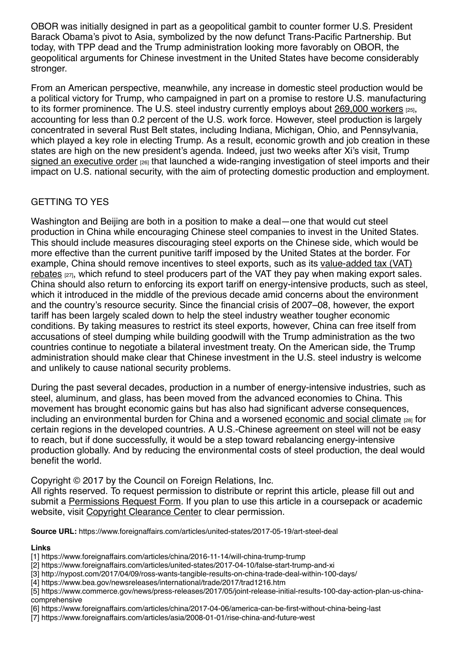OBOR was initially designed in part as a geopolitical gambit to counter former U.S. President Barack Obama's pivot to Asia, symbolized by the now defunct Trans-Pacific Partnership. But today, with TPP dead and the Trump administration looking more favorably on OBOR, the geopolitical arguments for Chinese investment in the United States have become considerably stronger.

From an American perspective, meanwhile, any increase in domestic steel production would be a political victory for Trump, who campaigned in part on a promise to restore U.S. manufacturing to its former prominence. The U.S. steel industry currently employs about [269,000 workers](https://www.bls.gov/cps/cpsaat18.htm)  $_{[25]}$ , accounting for less than 0.2 percent of the U.S. work force. However, steel production is largely concentrated in several Rust Belt states, including Indiana, Michigan, Ohio, and Pennsylvania, which played a key role in electing Trump. As a result, economic growth and job creation in these states are high on the new president's agenda. Indeed, just two weeks after Xi's visit, Trump [signed an executive order](https://www.theguardian.com/business/2017/apr/20/trump-executive-order-steel-imports-national-security) [26] that launched a wide-ranging investigation of steel imports and their impact on U.S. national security, with the aim of protecting domestic production and employment.

## GETTING TO YES

Washington and Beijing are both in a position to make a deal—one that would cut steel production in China while encouraging Chinese steel companies to invest in the United States. This should include measures discouraging steel exports on the Chinese side, which would be more effective than the current punitive tariff imposed by the United States at the border. For [example, China should remove incentives to steel exports, such as its value-added tax \(VAT\)](http://www.reuters.com/article/us-china-steel-exports-idUSKBN0TS2ST20151209) rebates [27], which refund to steel producers part of the VAT they pay when making export sales. China should also return to enforcing its export tariff on energy-intensive products, such as steel, which it introduced in the middle of the previous decade amid concerns about the environment and the country's resource security. Since the financial crisis of 2007–08, however, the export tariff has been largely scaled down to help the steel industry weather tougher economic conditions. By taking measures to restrict its steel exports, however, China can free itself from accusations of steel dumping while building goodwill with the Trump administration as the two countries continue to negotiate a bilateral investment treaty. On the American side, the Trump administration should make clear that Chinese investment in the U.S. steel industry is welcome and unlikely to cause national security problems.

During the past several decades, production in a number of energy-intensive industries, such as steel, aluminum, and glass, has been moved from the advanced economies to China. This movement has brought economic gains but has also had significant adverse consequences, including an environmental burden for China and a worsened [economic and social climate](http://www.nber.org/papers/w21906) [28] for certain regions in the developed countries. A U.S.-Chinese agreement on steel will not be easy to reach, but if done successfully, it would be a step toward rebalancing energy-intensive production globally. And by reducing the environmental costs of steel production, the deal would benefit the world.

Copyright © 2017 by the Council on Foreign Relations, Inc.

All rights reserved. To request permission to distribute or reprint this article, please fill out and submit a [Permissions Request Form.](http://www.foreignaffairs.com/permissions) If you plan to use this article in a coursepack or academic website, visit [Copyright Clearance Center](http://www.copyright.com/) to clear permission.

**Source URL:** https://www.foreignaffairs.com/articles/united-states/2017-05-19/art-steel-deal

## **Links**

- [1] https://www.foreignaffairs.com/articles/china/2016-11-14/will-china-trump-trump
- [2] https://www.foreignaffairs.com/articles/united-states/2017-04-10/false-start-trump-and-xi
- [3] http://nypost.com/2017/04/09/ross-wants-tangible-results-on-china-trade-deal-within-100-days/
- [4] https://www.bea.gov/newsreleases/international/trade/2017/trad1216.htm

[5] https://www.commerce.gov/news/press-releases/2017/05/joint-release-initial-results-100-day-action-plan-us-chinacomprehensive

- [6] https://www.foreignaffairs.com/articles/china/2017-04-06/america-can-be-first-without-china-being-last
- [7] https://www.foreignaffairs.com/articles/asia/2008-01-01/rise-china-and-future-west